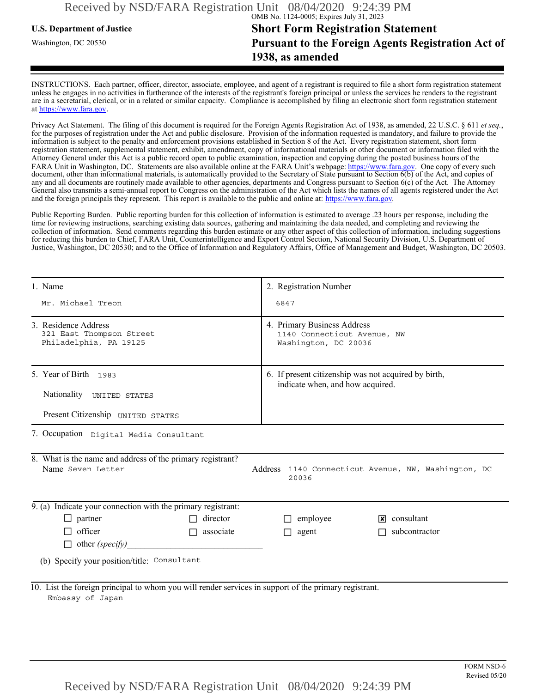## **U.S. Department of Justice Short Form Registration Statement** Washington, DC 20530 **Pursuant to the Foreign Agents Registration Act of 1938, as amended**

INSTRUCTIONS. Each partner, officer, director, associate, employee, and agent of a registrant is required to file a short form registration statement unless he engages in no activities in furtherance of the interests of the registrant's foreign principal or unless the services he renders to the registrant are in a secretarial, clerical, or in a related or similar capacity. Compliance is accomplished by filing an electronic short form registration statement at https://www.fara.gov.

Privacy Act Statement. The filing of this document is required for the Foreign Agents Registration Act of 1938, as amended, 22 U.S.C. § 611 *et seq.*, for the purposes of registration under the Act and public disclosure. Provision of the information requested is mandatory, and failure to provide the information is subject to the penalty and enforcement provisions established in Section 8 of the Act. Every registration statement, short form registration statement, supplemental statement, exhibit, amendment, copy of informational materials or other document or information filed with the Attorney General under this Act is a public record open to public examination, inspection and copying during the posted business hours of the FARA Unit in Washington, DC. Statements are also available online at the FARA Unit's webpage: https://www.fara.gov. One copy of every such document, other than informational materials, is automatically provided to the Secretary of State pursuant to Section 6(b) of the Act, and copies of any and all documents are routinely made available to other agencies, departments and Congress pursuant to Section 6(c) of the Act. The Attorney General also transmits a semi-annual report to Congress on the administration of the Act which lists the names of all agents registered under the Act and the foreign principals they represent. This report is available to the public and online at: https://www.fara.gov.

Public Reporting Burden. Public reporting burden for this collection of information is estimated to average .23 hours per response, including the time for reviewing instructions, searching existing data sources, gathering and maintaining the data needed, and completing and reviewing the collection of information. Send comments regarding this burden estimate or any other aspect of this collection of information, including suggestions for reducing this burden to Chief, FARA Unit, Counterintelligence and Export Control Section, National Security Division, U.S. Department of Justice, Washington, DC 20530; and to the Office of Information and Regulatory Affairs, Office of Management and Budget, Washington, DC 20503.

| 1. Name                                                                                                                                         | 2. Registration Number                                                                   |  |  |  |  |
|-------------------------------------------------------------------------------------------------------------------------------------------------|------------------------------------------------------------------------------------------|--|--|--|--|
| Mr. Michael Treon                                                                                                                               | 6847                                                                                     |  |  |  |  |
| 3. Residence Address<br>321 East Thompson Street<br>Philadelphia, PA 19125                                                                      | 4. Primary Business Address<br>1140 Connecticut Avenue, NW<br>Washington, DC 20036       |  |  |  |  |
| 5. Year of Birth 1983<br>Nationality UNITED STATES                                                                                              | 6. If present citizenship was not acquired by birth,<br>indicate when, and how acquired. |  |  |  |  |
| Present Citizenship UNITED STATES                                                                                                               |                                                                                          |  |  |  |  |
| 7. Occupation Digital Media Consultant                                                                                                          |                                                                                          |  |  |  |  |
| 8. What is the name and address of the primary registrant?<br>Name Seven Letter<br>Address 1140 Connecticut Avenue, NW, Washington, DC<br>20036 |                                                                                          |  |  |  |  |
| 9. (a) Indicate your connection with the primary registrant:                                                                                    |                                                                                          |  |  |  |  |
| $\Box$ partner<br>director                                                                                                                      | $\Box$ employee<br>$\sqrt{\mathbf{x}}$ consultant                                        |  |  |  |  |
| $\Box$ officer<br>associate<br>$\Box$                                                                                                           | subcontractor<br>$\Box$ agent                                                            |  |  |  |  |
| $\Box$ other (specify)                                                                                                                          |                                                                                          |  |  |  |  |
| (b) Specify your position/title: Consultant                                                                                                     |                                                                                          |  |  |  |  |
| 10. List the foreign principal to whom you will render services in support of the primary registrant.<br>Embassy of Japan                       |                                                                                          |  |  |  |  |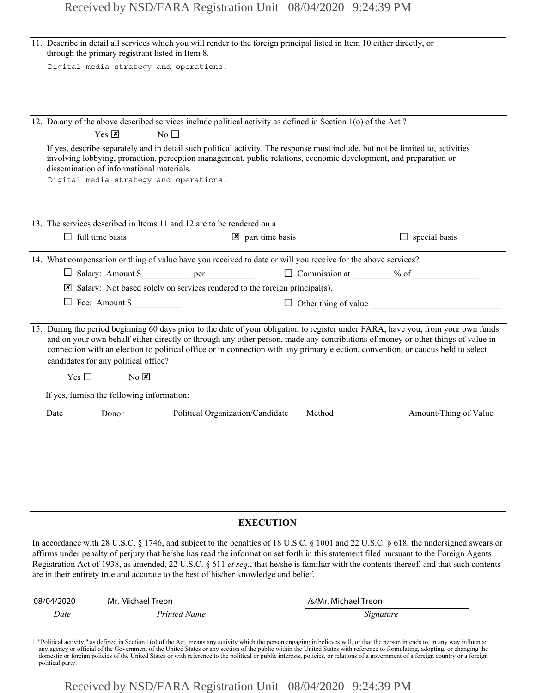|                  | 11. Describe in detail all services which you will render to the foreign principal listed in Item 10 either directly, or<br>through the primary registrant listed in Item 8.                                                                                                                                                                                                                                                                                                     |                                                                                     |                                                                                                                            |                                   |                      |                                                                                                                                                                                                                                                                                                                                                                                                                               |
|------------------|----------------------------------------------------------------------------------------------------------------------------------------------------------------------------------------------------------------------------------------------------------------------------------------------------------------------------------------------------------------------------------------------------------------------------------------------------------------------------------|-------------------------------------------------------------------------------------|----------------------------------------------------------------------------------------------------------------------------|-----------------------------------|----------------------|-------------------------------------------------------------------------------------------------------------------------------------------------------------------------------------------------------------------------------------------------------------------------------------------------------------------------------------------------------------------------------------------------------------------------------|
|                  | Digital media strategy and operations.                                                                                                                                                                                                                                                                                                                                                                                                                                           |                                                                                     |                                                                                                                            |                                   |                      |                                                                                                                                                                                                                                                                                                                                                                                                                               |
|                  |                                                                                                                                                                                                                                                                                                                                                                                                                                                                                  |                                                                                     |                                                                                                                            |                                   |                      |                                                                                                                                                                                                                                                                                                                                                                                                                               |
|                  |                                                                                                                                                                                                                                                                                                                                                                                                                                                                                  |                                                                                     |                                                                                                                            |                                   |                      |                                                                                                                                                                                                                                                                                                                                                                                                                               |
|                  |                                                                                                                                                                                                                                                                                                                                                                                                                                                                                  |                                                                                     | 12. Do any of the above described services include political activity as defined in Section 1(o) of the Act <sup>1</sup> ? |                                   |                      |                                                                                                                                                                                                                                                                                                                                                                                                                               |
|                  |                                                                                                                                                                                                                                                                                                                                                                                                                                                                                  | $Yes \nvert \mathbf{X}$                                                             | $\rm No$ $\Box$                                                                                                            |                                   |                      |                                                                                                                                                                                                                                                                                                                                                                                                                               |
|                  |                                                                                                                                                                                                                                                                                                                                                                                                                                                                                  | dissemination of informational materials.<br>Digital media strategy and operations. |                                                                                                                            |                                   |                      | If yes, describe separately and in detail such political activity. The response must include, but not be limited to, activities<br>involving lobbying, promotion, perception management, public relations, economic development, and preparation or                                                                                                                                                                           |
|                  |                                                                                                                                                                                                                                                                                                                                                                                                                                                                                  |                                                                                     |                                                                                                                            |                                   |                      |                                                                                                                                                                                                                                                                                                                                                                                                                               |
|                  |                                                                                                                                                                                                                                                                                                                                                                                                                                                                                  |                                                                                     | 13. The services described in Items 11 and 12 are to be rendered on a                                                      |                                   |                      |                                                                                                                                                                                                                                                                                                                                                                                                                               |
|                  | $\Box$ full time basis                                                                                                                                                                                                                                                                                                                                                                                                                                                           |                                                                                     |                                                                                                                            | $\mathbf{\times}$ part time basis |                      | $\Box$ special basis                                                                                                                                                                                                                                                                                                                                                                                                          |
|                  |                                                                                                                                                                                                                                                                                                                                                                                                                                                                                  |                                                                                     | 14. What compensation or thing of value have you received to date or will you receive for the above services?              |                                   |                      |                                                                                                                                                                                                                                                                                                                                                                                                                               |
|                  |                                                                                                                                                                                                                                                                                                                                                                                                                                                                                  |                                                                                     |                                                                                                                            |                                   |                      | □ Salary: Amount \$ ___________ per __________________ □ Commission at ________ % of _______________                                                                                                                                                                                                                                                                                                                          |
|                  |                                                                                                                                                                                                                                                                                                                                                                                                                                                                                  |                                                                                     | $\boxtimes$ Salary: Not based solely on services rendered to the foreign principal(s).                                     |                                   |                      |                                                                                                                                                                                                                                                                                                                                                                                                                               |
|                  |                                                                                                                                                                                                                                                                                                                                                                                                                                                                                  | Fee: Amount \$                                                                      |                                                                                                                            |                                   |                      | $\Box$ Other thing of value $\Box$                                                                                                                                                                                                                                                                                                                                                                                            |
|                  | 15. During the period beginning 60 days prior to the date of your obligation to register under FARA, have you, from your own funds<br>and on your own behalf either directly or through any other person, made any contributions of money or other things of value in<br>connection with an election to political office or in connection with any primary election, convention, or caucus held to select<br>candidates for any political office?<br>Yes $\Box$<br>$N0$ $\times$ |                                                                                     |                                                                                                                            |                                   |                      |                                                                                                                                                                                                                                                                                                                                                                                                                               |
|                  |                                                                                                                                                                                                                                                                                                                                                                                                                                                                                  | If yes, furnish the following information:                                          |                                                                                                                            |                                   |                      |                                                                                                                                                                                                                                                                                                                                                                                                                               |
|                  | Date                                                                                                                                                                                                                                                                                                                                                                                                                                                                             | Donor                                                                               | Political Organization/Candidate                                                                                           |                                   | Method               | Amount/Thing of Value                                                                                                                                                                                                                                                                                                                                                                                                         |
|                  |                                                                                                                                                                                                                                                                                                                                                                                                                                                                                  |                                                                                     |                                                                                                                            |                                   |                      |                                                                                                                                                                                                                                                                                                                                                                                                                               |
| <b>EXECUTION</b> |                                                                                                                                                                                                                                                                                                                                                                                                                                                                                  |                                                                                     |                                                                                                                            |                                   |                      |                                                                                                                                                                                                                                                                                                                                                                                                                               |
|                  |                                                                                                                                                                                                                                                                                                                                                                                                                                                                                  |                                                                                     | are in their entirety true and accurate to the best of his/her knowledge and belief.                                       |                                   |                      | In accordance with 28 U.S.C. § 1746, and subject to the penalties of 18 U.S.C. § 1001 and 22 U.S.C. § 618, the undersigned swears or<br>affirms under penalty of perjury that he/she has read the information set forth in this statement filed pursuant to the Foreign Agents<br>Registration Act of 1938, as amended, 22 U.S.C. $\S 611$ et seq., that he/she is familiar with the contents thereof, and that such contents |
|                  | 08/04/2020                                                                                                                                                                                                                                                                                                                                                                                                                                                                       | Mr. Michael Treon                                                                   |                                                                                                                            |                                   | /s/Mr. Michael Treon |                                                                                                                                                                                                                                                                                                                                                                                                                               |

| 08/04/2020           | Mr. Michael Treon | /s/Mr. Michael Treon |
|----------------------|-------------------|----------------------|
| Printed Name<br>Date |                   | Signature            |

Political activity," as defined in Section 1(o) of the Act, means any activity which the person engaging in believes will, or that the person intends to, in any way influence any agency or official of the Government of the domestic or foreign policies of the United States or with reference to the political or public interests, policies, or relations of a government of a foreign country or a foreign political party.

Received by NSD/FARA Registration Unit 08/04/2020 9:24:39 PM